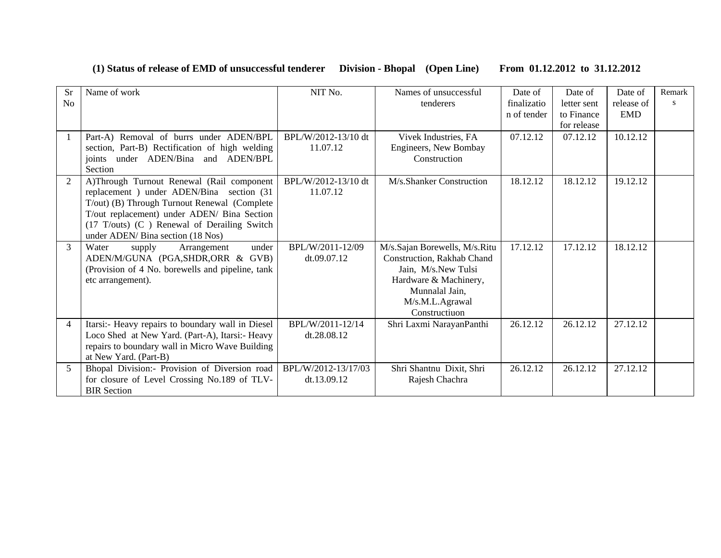## **(1) Status of release of EMD of unsuccessful tenderer Division - Bhopal (Open Line) From 01.12.2012 to 31.12.2012**

| <b>Sr</b>      | Name of work                                                                         | NIT No.             | Names of unsuccessful                                       | Date of     | Date of     | Date of    | Remark |
|----------------|--------------------------------------------------------------------------------------|---------------------|-------------------------------------------------------------|-------------|-------------|------------|--------|
| No             |                                                                                      |                     | tenderers                                                   | finalizatio | letter sent | release of | s      |
|                |                                                                                      |                     |                                                             | n of tender | to Finance  | <b>EMD</b> |        |
|                |                                                                                      |                     |                                                             |             | for release |            |        |
|                | Part-A) Removal of burrs under ADEN/BPL                                              | BPL/W/2012-13/10 dt | Vivek Industries, FA                                        | 07.12.12    | 07.12.12    | 10.12.12   |        |
|                | section, Part-B) Rectification of high welding                                       | 11.07.12            | Engineers, New Bombay                                       |             |             |            |        |
|                | joints under ADEN/Bina and ADEN/BPL                                                  |                     | Construction                                                |             |             |            |        |
|                | Section                                                                              |                     |                                                             |             |             |            |        |
| $\overline{2}$ | A)Through Turnout Renewal (Rail component                                            | BPL/W/2012-13/10 dt | M/s.Shanker Construction                                    | 18.12.12    | 18.12.12    | 19.12.12   |        |
|                | replacement) under ADEN/Bina section (31                                             | 11.07.12            |                                                             |             |             |            |        |
|                | T/out) (B) Through Turnout Renewal (Complete                                         |                     |                                                             |             |             |            |        |
|                | T/out replacement) under ADEN/ Bina Section                                          |                     |                                                             |             |             |            |        |
|                | $(17$ T/outs) $(C)$ Renewal of Derailing Switch<br>under ADEN/ Bina section (18 Nos) |                     |                                                             |             |             |            |        |
| 3              | Water                                                                                | BPL/W/2011-12/09    |                                                             | 17.12.12    | 17.12.12    | 18.12.12   |        |
|                | under<br>supply<br>Arrangement<br>ADEN/M/GUNA (PGA,SHDR,ORR & GVB)                   | dt.09.07.12         | M/s.Sajan Borewells, M/s.Ritu<br>Construction, Rakhab Chand |             |             |            |        |
|                | (Provision of 4 No. borewells and pipeline, tank                                     |                     | Jain, M/s.New Tulsi                                         |             |             |            |        |
|                | etc arrangement).                                                                    |                     | Hardware & Machinery,                                       |             |             |            |        |
|                |                                                                                      |                     | Munnalal Jain,                                              |             |             |            |        |
|                |                                                                                      |                     | M/s.M.L.Agrawal                                             |             |             |            |        |
|                |                                                                                      |                     | Constructiuon                                               |             |             |            |        |
| $\overline{4}$ | Itarsi:- Heavy repairs to boundary wall in Diesel                                    | BPL/W/2011-12/14    | Shri Laxmi NarayanPanthi                                    | 26.12.12    | 26.12.12    | 27.12.12   |        |
|                | Loco Shed at New Yard. (Part-A), Itarsi:- Heavy                                      | dt.28.08.12         |                                                             |             |             |            |        |
|                | repairs to boundary wall in Micro Wave Building                                      |                     |                                                             |             |             |            |        |
|                | at New Yard. (Part-B)                                                                |                     |                                                             |             |             |            |        |
| 5              | Bhopal Division:- Provision of Diversion road                                        | BPL/W/2012-13/17/03 | Shri Shantnu Dixit, Shri                                    | 26.12.12    | 26.12.12    | 27.12.12   |        |
|                | for closure of Level Crossing No.189 of TLV-                                         | dt.13.09.12         | Rajesh Chachra                                              |             |             |            |        |
|                | <b>BIR</b> Section                                                                   |                     |                                                             |             |             |            |        |